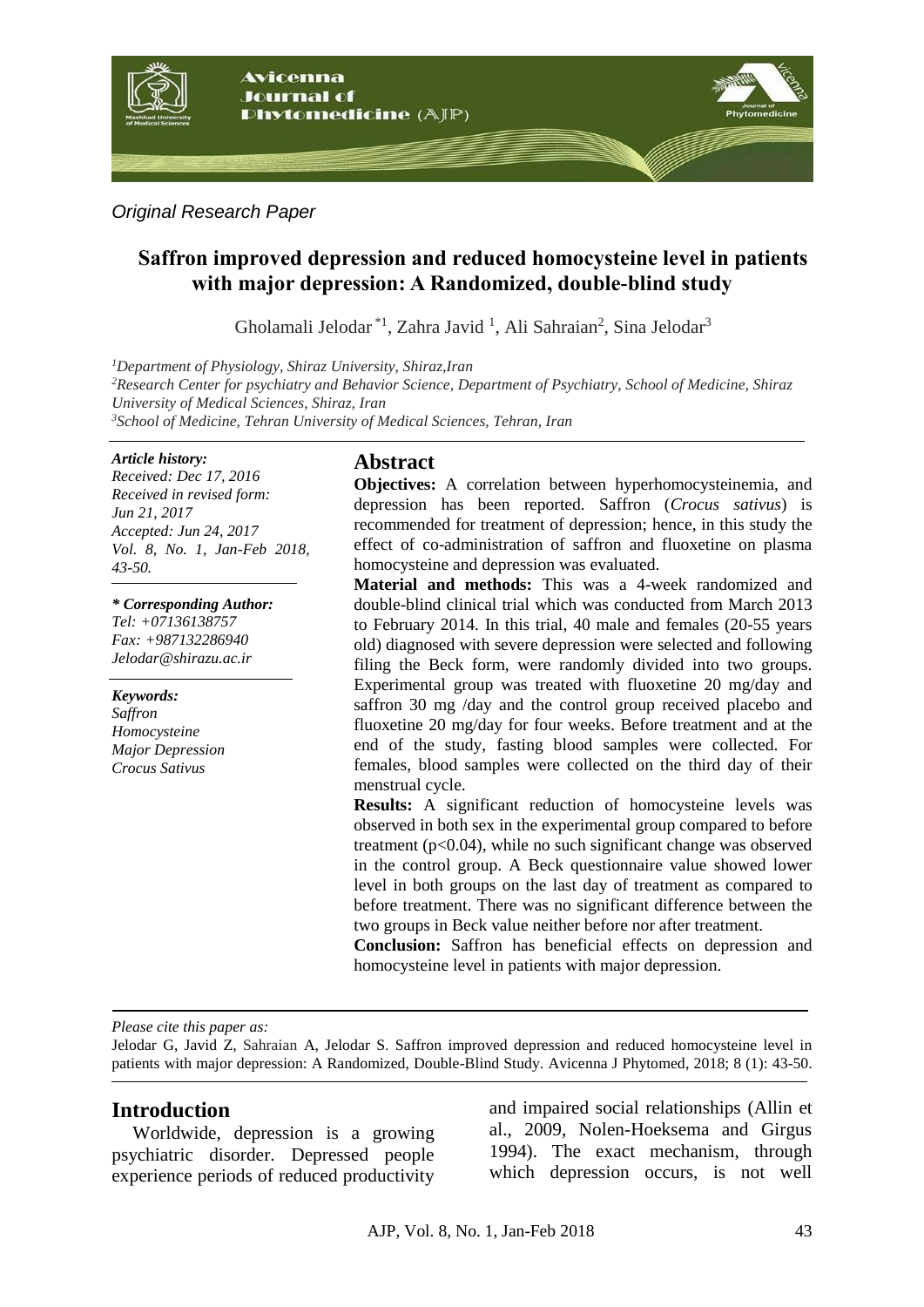

*Original Research Paper*

# **Saffron improved depression and reduced homocysteine level in patients with major depression: A Randomized, double-blind study**

Gholamali Jelodar<sup>\*1</sup>, Zahra Javid<sup>1</sup>, Ali Sahraian<sup>2</sup>, Sina Jelodar<sup>3</sup>

*<sup>1</sup>Department of Physiology, Shiraz University, Shiraz,Iran*

*<sup>2</sup>Research Center for psychiatry and Behavior Science, Department of Psychiatry, School of Medicine, Shiraz University of Medical Sciences, Shiraz, Iran*

*<sup>3</sup>School of Medicine, Tehran University of Medical Sciences, Tehran, Iran*

#### *Article history:*

*Received: Dec 17, 2016 Received in revised form: Jun 21, 2017 Accepted: Jun 24, 2017 Vol. 8, No. 1, Jan-Feb 2018, 43-50.*

*\* Corresponding Author:*

*Tel: +07136138757 Fax: +987132286940 [Jelodar@shirazu.ac.ir](mailto:Jelodar@shirazu.ac.ir)*

*Keywords: Saffron Homocysteine Major Depression Crocus Sativus*

# **Abstract**

**Objectives:** A correlation between hyperhomocysteinemia, and depression has been reported. Saffron (*Crocus sativus*) is recommended for treatment of depression; hence, in this study the effect of co-administration of saffron and fluoxetine on plasma homocysteine and depression was evaluated.

**Material and methods:** This was a 4-week randomized and double-blind clinical trial which was conducted from March 2013 to February 2014. In this trial, 40 male and females (20-55 years old) diagnosed with severe depression were selected and following filing the Beck form, were randomly divided into two groups. Experimental group was treated with fluoxetine 20 mg/day and saffron 30 mg /day and the control group received placebo and fluoxetine 20 mg/day for four weeks. Before treatment and at the end of the study, fasting blood samples were collected. For females, blood samples were collected on the third day of their menstrual cycle.

**Results:** A significant reduction of homocysteine levels was observed in both sex in the experimental group compared to before treatment (p<0.04), while no such significant change was observed in the control group. A Beck questionnaire value showed lower level in both groups on the last day of treatment as compared to before treatment. There was no significant difference between the two groups in Beck value neither before nor after treatment.

**Conclusion:** Saffron has beneficial effects on depression and homocysteine level in patients with major depression.

*Please cite this paper as:*

Jelodar G, Javid Z, Sahraian A, Jelodar S. Saffron improved depression and reduced homocysteine level in patients with major depression: A Randomized, Double-Blind Study. Avicenna J Phytomed, 2018; 8 (1): 43-50.

## **Introduction**

Worldwide, depression is a growing psychiatric disorder. Depressed people experience periods of reduced productivity

and impaired social relationships (Allin et al., 2009, Nolen-Hoeksema and Girgus 1994). The exact mechanism, through which depression occurs, is not well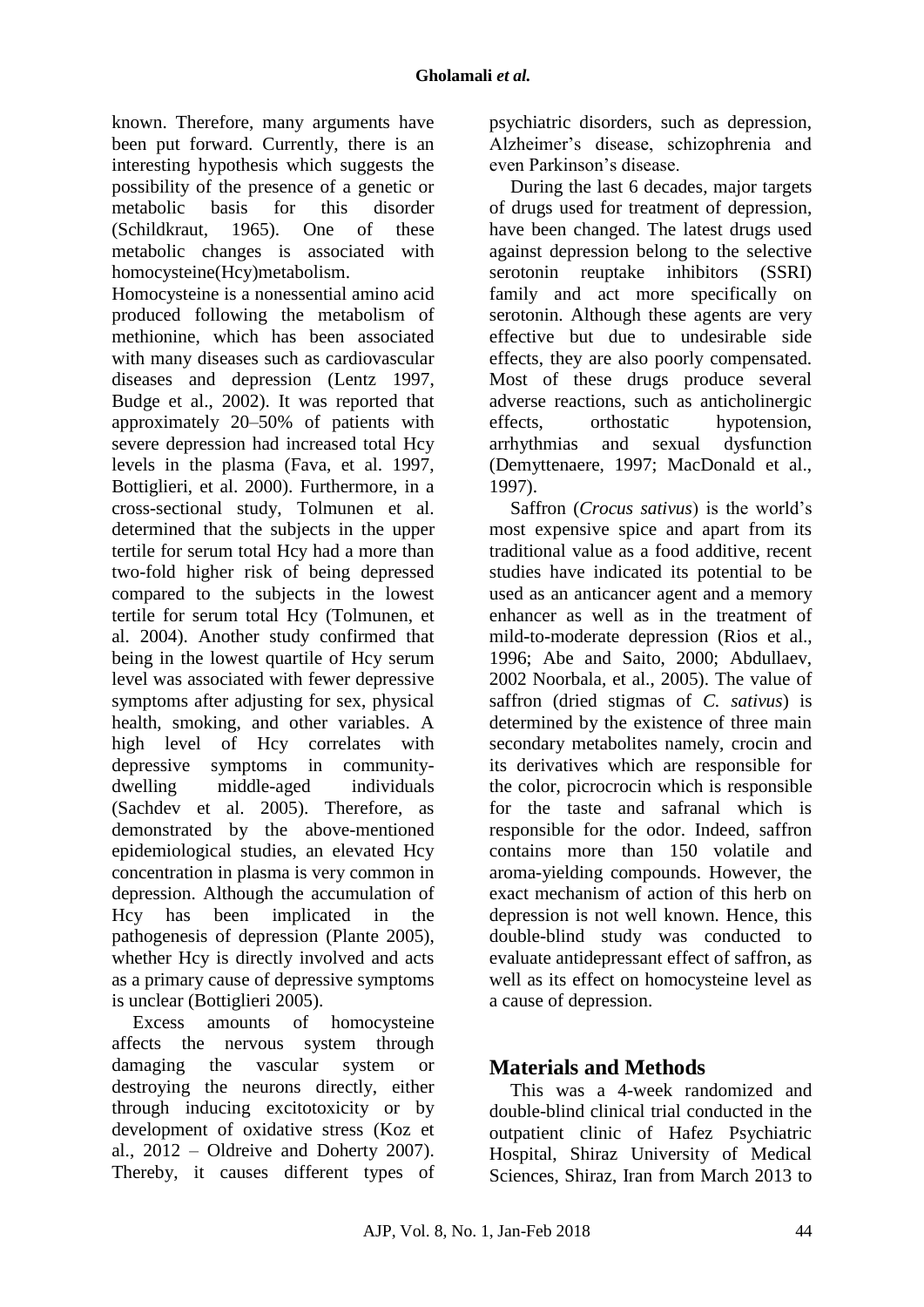known. Therefore, many arguments have been put forward. Currently, there is an interesting hypothesis which suggests the possibility of the presence of a genetic or metabolic basis for this disorder (Schildkraut, 1965). One of these metabolic changes is associated with homocysteine(Hcy)metabolism.

Homocysteine is a nonessential amino acid produced following the metabolism of methionine, which has been associated with many diseases such as cardiovascular diseases and depression (Lentz 1997, Budge et al., 2002). It was reported that approximately 20–50% of patients with severe depression had increased total Hcy levels in the plasma (Fava, et al. 1997, Bottiglieri, et al. 2000). Furthermore, in a cross-sectional study, Tolmunen et al. determined that the subjects in the upper tertile for serum total Hcy had a more than two-fold higher risk of being depressed compared to the subjects in the lowest tertile for serum total Hcy [\(Tolmunen, et](http://www.ncbi.nlm.nih.gov/pmc/articles/PMC4186820/#pone.0106625-Tolmunen1)  [al. 2004\)](http://www.ncbi.nlm.nih.gov/pmc/articles/PMC4186820/#pone.0106625-Tolmunen1). Another study confirmed that being in the lowest quartile of Hcy serum level was associated with fewer depressive symptoms after adjusting for sex, physical health, smoking, and other variables. A high level of Hcy correlates with depressive symptoms in communitydwelling middle-aged individuals [\(Sachdev et al. 2005\).](http://www.ncbi.nlm.nih.gov/pmc/articles/PMC4186820/#pone.0106625-Sachdev1) Therefore, as demonstrated by the above-mentioned epidemiological studies, an elevated Hcy concentration in plasma is very common in depression. Although the accumulation of Hcy has been implicated in the pathogenesis of depression [\(Plante 2005\),](http://www.ncbi.nlm.nih.gov/pmc/articles/PMC4186820/#pone.0106625-Plante1) whether Hcy is directly involved and acts as a primary cause of depressive symptoms is unclear (Bottiglieri 2005).

Excess amounts of homocysteine affects the nervous system through damaging the vascular system or destroying the neurons directly, either through inducing excitotoxicity or by development of oxidative stress (Koz et al., 2012 – Oldreive and Doherty 2007). Thereby, it causes different types of psychiatric disorders, such as depression, Alzheimer's disease, schizophrenia and even Parkinson's disease.

During the last 6 decades, major targets of drugs used for treatment of depression, have been changed. The latest drugs used against depression belong to the selective serotonin reuptake inhibitors (SSRI) family and act more specifically on serotonin. Although these agents are very effective but due to undesirable side effects, they are also poorly compensated. Most of these drugs produce several adverse reactions, such as anticholinergic effects, orthostatic hypotension, arrhythmias and sexual dysfunction (Demyttenaere, 1997; MacDonald et al., 1997).

Saffron (*Crocus sativus*) is the world's most expensive spice and apart from its traditional value as a food additive, recent studies have indicated its potential to be used as an anticancer agent and a memory enhancer as well as in the treatment of mild-to-moderate depression (Rios et al., 1996; Abe and Saito, 2000; Abdullaev, 2002 Noorbala, et al., 2005). The value of saffron (dried stigmas of *C. sativus*) is determined by the existence of three main secondary metabolites namely, crocin and its derivatives which are responsible for the color, picrocrocin which is responsible for the taste and safranal which is responsible for the odor. Indeed, saffron contains more than 150 volatile and aroma-yielding compounds. However, the exact mechanism of action of this herb on depression is not well known. Hence, this double-blind study was conducted to evaluate antidepressant effect of saffron, as well as its effect on homocysteine level as a cause of depression.

# **Materials and Methods**

This was a 4-week randomized and double-blind clinical trial conducted in the outpatient clinic of Hafez Psychiatric Hospital, Shiraz University of Medical Sciences, Shiraz, Iran from March 2013 to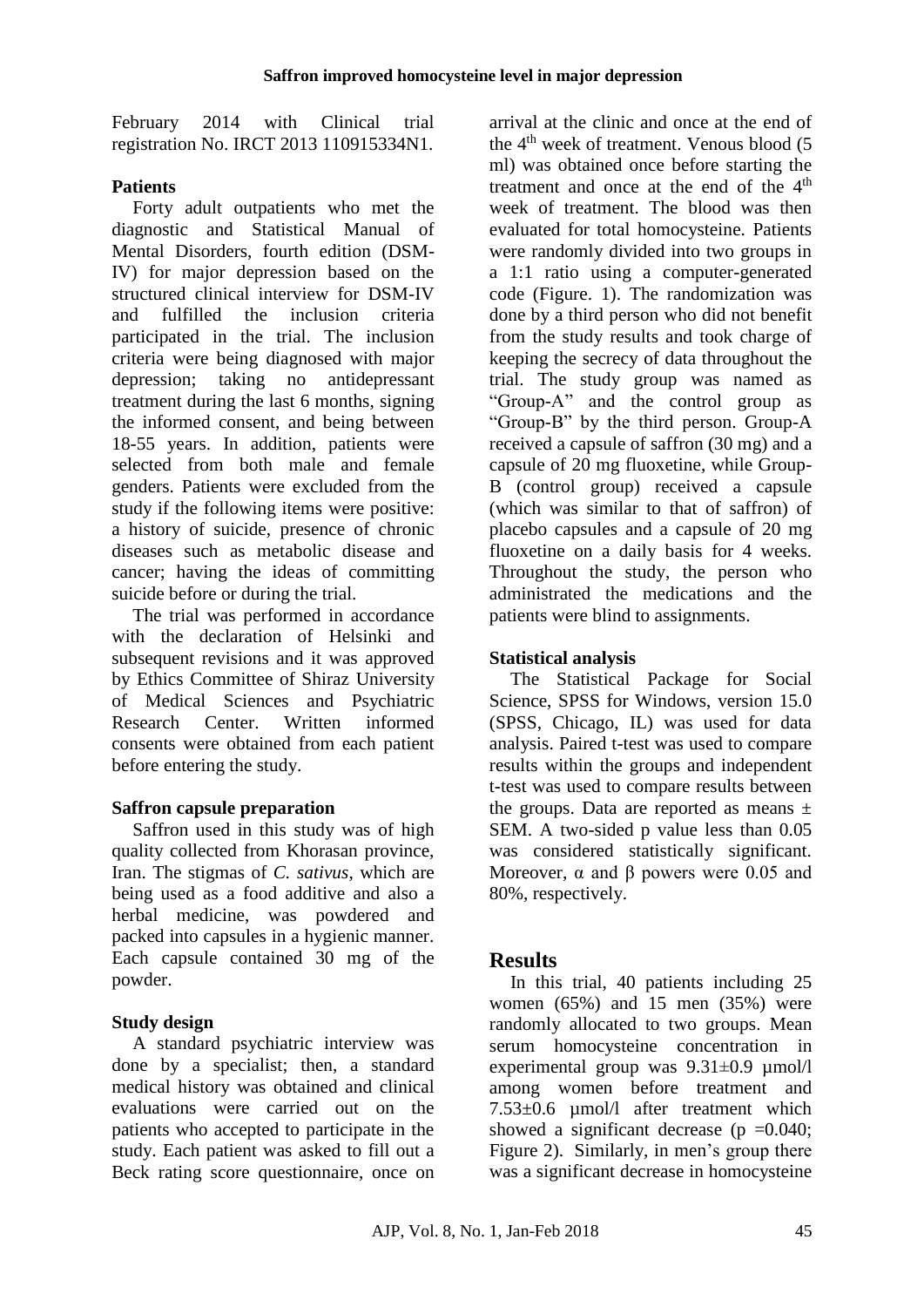February 2014 with Clinical trial registration No. IRCT 2013 110915334N1.

### **Patients**

Forty adult outpatients who met the diagnostic and Statistical Manual of Mental Disorders, fourth edition (DSM-IV) for major depression based on the structured clinical interview for DSM-IV and fulfilled the inclusion criteria participated in the trial. The inclusion criteria were being diagnosed with major depression; taking no antidepressant treatment during the last 6 months, signing the informed consent, and being between 18-55 years. In addition, patients were selected from both male and female genders. Patients were excluded from the study if the following items were positive: a history of suicide, presence of chronic diseases such as metabolic disease and cancer; having the ideas of committing suicide before or during the trial.

The trial was performed in accordance with the declaration of Helsinki and subsequent revisions and it was approved by Ethics Committee of Shiraz University of Medical Sciences and Psychiatric Research Center. Written informed consents were obtained from each patient before entering the study.

#### **Saffron capsule preparation**

Saffron used in this study was of high quality collected from Khorasan province, Iran. The stigmas of *C. sativus*, which are being used as a food additive and also a herbal medicine, was powdered and packed into capsules in a hygienic manner. Each capsule contained 30 mg of the powder.

## **Study design**

A standard psychiatric interview was done by a specialist; then, a standard medical history was obtained and clinical evaluations were carried out on the patients who accepted to participate in the study. Each patient was asked to fill out a Beck rating score questionnaire, once on

arrival at the clinic and once at the end of the 4<sup>th</sup> week of treatment. Venous blood (5 ml) was obtained once before starting the treatment and once at the end of the 4<sup>th</sup> week of treatment. The blood was then evaluated for total homocysteine. Patients were randomly divided into two groups in a 1:1 ratio using a computer-generated code (Figure. 1). The randomization was done by a third person who did not benefit from the study results and took charge of keeping the secrecy of data throughout the trial. The study group was named as "Group-A" and the control group as "Group-B" by the third person. Group-A received a capsule of saffron (30 mg) and a capsule of 20 mg fluoxetine, while Group-B (control group) received a capsule (which was similar to that of saffron) of placebo capsules and a capsule of 20 mg fluoxetine on a daily basis for 4 weeks. Throughout the study, the person who administrated the medications and the patients were blind to assignments.

### **Statistical analysis**

The Statistical Package for Social Science, SPSS for Windows, version 15.0 (SPSS, Chicago, IL) was used for data analysis. Paired t-test was used to compare results within the groups and independent t-test was used to compare results between the groups. Data are reported as means  $\pm$ SEM. A two-sided p value less than 0.05 was considered statistically significant. Moreover,  $\alpha$  and  $\beta$  powers were 0.05 and 80%, respectively.

# **Results**

In this trial, 40 patients including 25 women (65%) and 15 men (35%) were randomly allocated to two groups. Mean serum homocysteine concentration in experimental group was  $9.31 \pm 0.9$   $\mu$ mol/l among women before treatment and 7.53±0.6 µmol/l after treatment which showed a significant decrease ( $p = 0.040$ ; Figure 2). Similarly, in men's group there was a significant decrease in homocysteine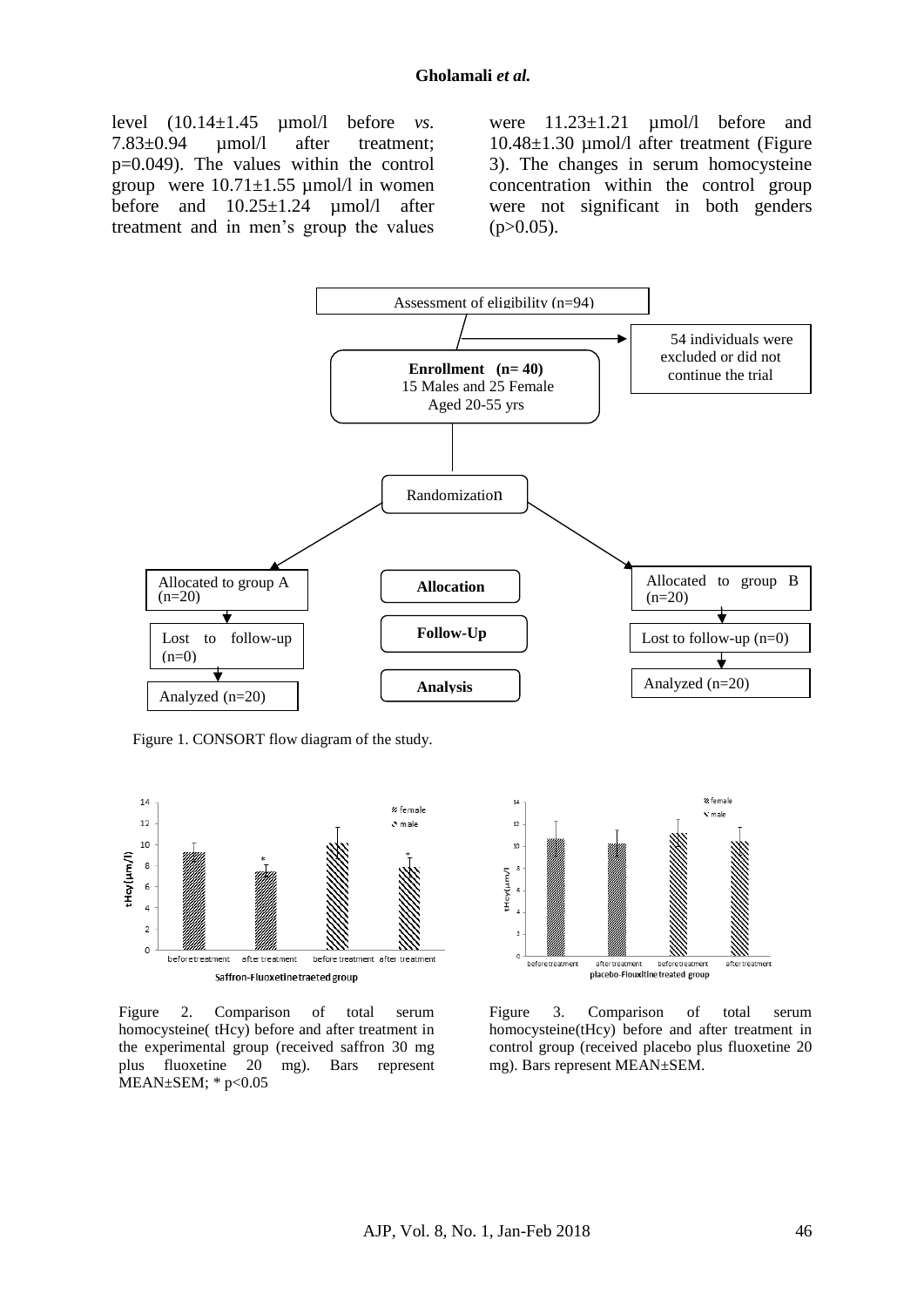level (10.14±1.45 µmol/l before *vs.* 7.83±0.94 µmol/l after treatment; p=0.049). The values within the control group were  $10.71 \pm 1.55$  umol/l in women before and 10.25±1.24 µmol/l after treatment and in men's group the values

were  $11.23 \pm 1.21$  umol/l before and 10.48±1.30 µmol/l after treatment (Figure 3). The changes in serum homocysteine concentration within the control group were not significant in both genders  $(p>0.05)$ .



Figure 1. CONSORT flow diagram of the study.



Figure 2. Comparison of total serum homocysteine( tHcy) before and after treatment in the experimental group (received saffron 30 mg plus fluoxetine 20 mg). Bars represent MEAN±SEM; \* p<0.05



Figure 3. Comparison of total serum homocysteine(tHcy) before and after treatment in control group (received placebo plus fluoxetine 20 mg). Bars represent MEAN±SEM.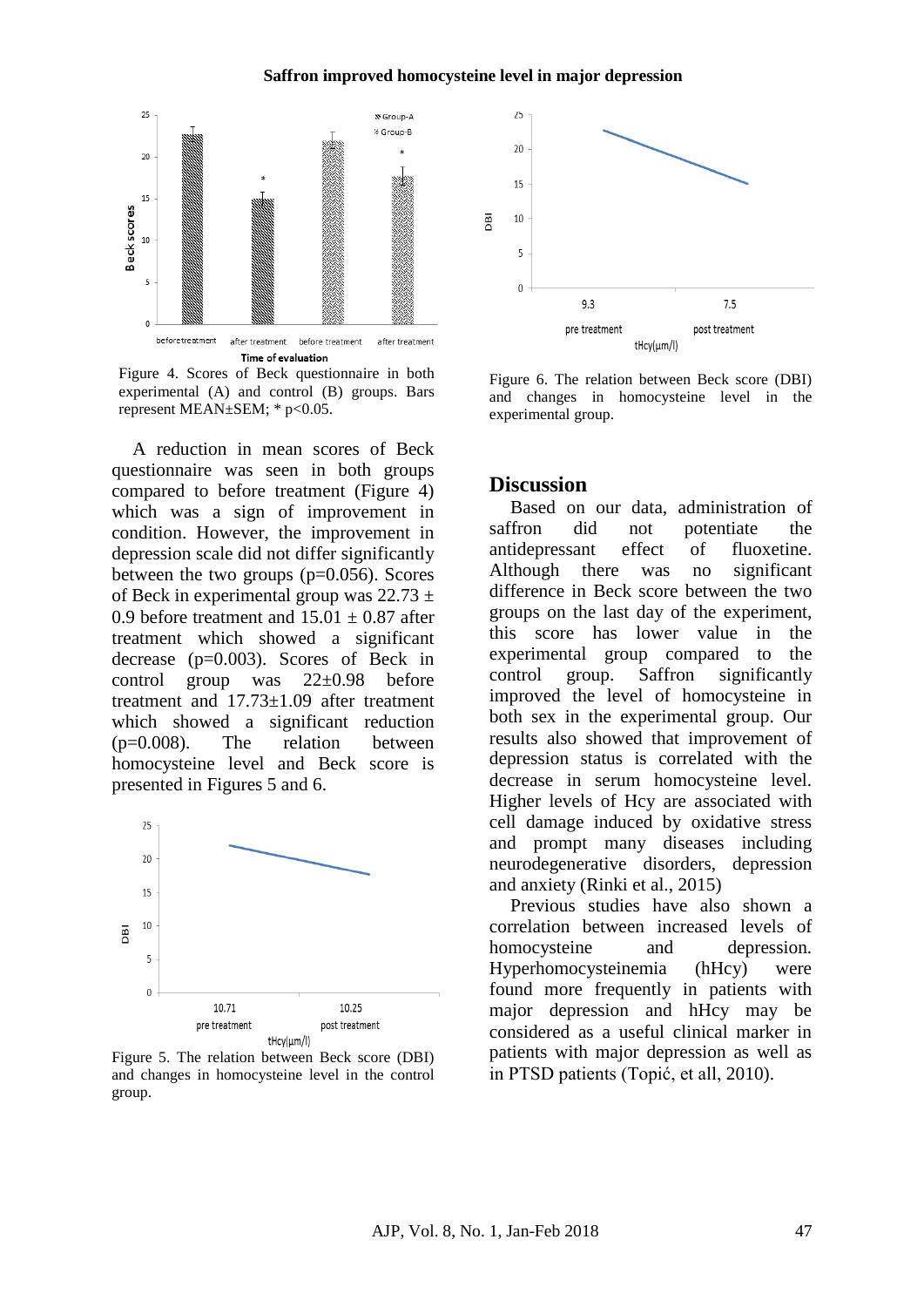



A reduction in mean scores of Beck questionnaire was seen in both groups compared to before treatment (Figure 4) which was a sign of improvement in condition. However, the improvement in depression scale did not differ significantly between the two groups  $(p=0.056)$ . Scores of Beck in experimental group was  $22.73 \pm$ 0.9 before treatment and  $15.01 \pm 0.87$  after treatment which showed a significant decrease (p=0.003). Scores of Beck in control group was 22+0.98 before treatment and 17.73±1.09 after treatment which showed a significant reduction (p=0.008). The relation between homocysteine level and Beck score is presented in Figures 5 and 6.



Figure 5. The relation between Beck score (DBI) and changes in homocysteine level in the control group.



Figure 6. The relation between Beck score (DBI) and changes in homocysteine level in the experimental group.

#### **Discussion**

Based on our data, administration of saffron did not potentiate the antidepressant effect of fluoxetine. Although there was no significant difference in Beck score between the two groups on the last day of the experiment, this score has lower value in the experimental group compared to the control group. Saffron significantly improved the level of homocysteine in both sex in the experimental group. Our results also showed that improvement of depression status is correlated with the decrease in serum homocysteine level. Higher levels of Hcy are associated with cell damage induced by oxidative stress and prompt many diseases including neurodegenerative disorders, depression and anxiety (Rinki et al., 2015)

Previous studies have also shown a correlation between increased levels of homocysteine and depression. Hyperhomocysteinemia (hHcy) were found more frequently in patients with major depression and hHcy may be considered as a useful clinical marker in patients with major depression as well as in PTSD patients (Topić, et all, 2010).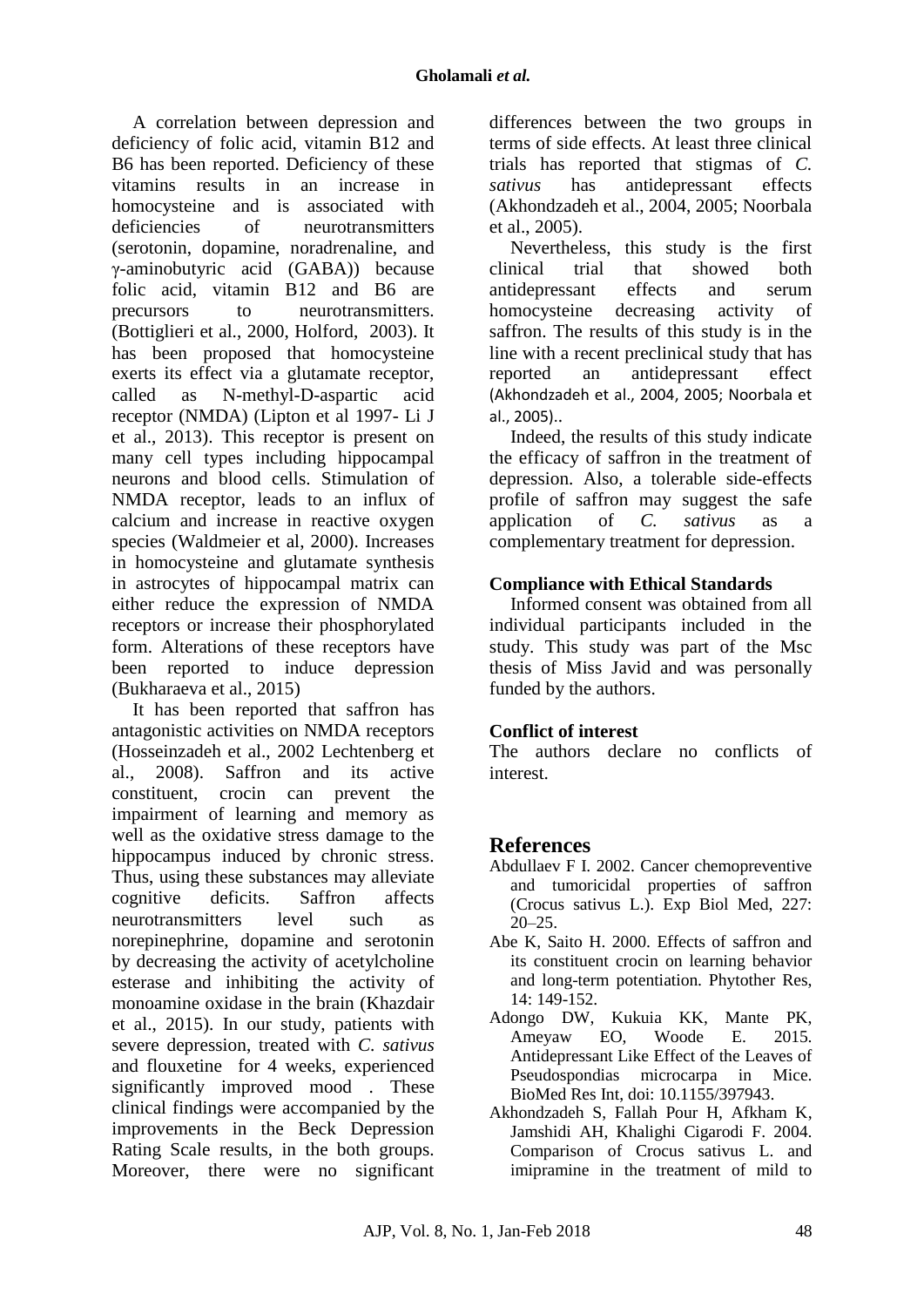A correlation between depression and deficiency of folic acid, vitamin B12 and B6 has been reported. Deficiency of these vitamins results in an increase in homocysteine and is associated with deficiencies of neurotransmitters (serotonin, dopamine, noradrenaline, and γ-aminobutyric acid (GABA)) because folic acid, vitamin B12 and B6 are precursors to neurotransmitters. (Bottiglieri et al., 2000, Holford, 2003). It has been proposed that homocysteine exerts its effect via a glutamate receptor, called as N-methyl-D-aspartic acid receptor (NMDA) (Lipton et al 1997- Li J et al., 2013). This receptor is present on many cell types including hippocampal neurons and blood cells. Stimulation of NMDA receptor, leads to an influx of calcium and increase in reactive oxygen species (Waldmeier et al, 2000). Increases in homocysteine and glutamate synthesis in astrocytes of hippocampal matrix can either reduce the expression of NMDA receptors or increase their phosphorylated form. Alterations of these receptors have been reported to induce depression (Bukharaeva et al., 2015)

It has been reported that saffron has antagonistic activities on NMDA receptors (Hosseinzadeh et al., 2002 Lechtenberg et al., 2008). Saffron and its active constituent, crocin can prevent the impairment of learning and memory as well as the oxidative stress damage to the hippocampus induced by chronic stress. Thus, using these substances may alleviate cognitive deficits. Saffron affects neurotransmitters level such as norepinephrine, dopamine and serotonin by decreasing the activity of acetylcholine esterase and inhibiting the activity of monoamine oxidase in the brain (Khazdair et al., 2015). In our study, patients with severe depression, treated with *C. sativus* and flouxetine for 4 weeks, experienced significantly improved mood. These clinical findings were accompanied by the improvements in the Beck Depression Rating Scale results, in the both groups. Moreover, there were no significant differences between the two groups in terms of side effects. At least three clinical trials has reported that stigmas of *C. sativus* has antidepressant effects (Akhondzadeh et al., 2004, 2005; Noorbala et al., 2005).

Nevertheless, this study is the first clinical trial that showed both antidepressant effects and serum homocysteine decreasing activity of saffron. The results of this study is in the line with a recent preclinical study that has reported an antidepressant effect (Akhondzadeh et al., 2004, 2005; Noorbala et al., 2005)..

Indeed, the results of this study indicate the efficacy of saffron in the treatment of depression. Also, a tolerable side-effects profile of saffron may suggest the safe application of *C. sativus* as a complementary treatment for depression.

#### **Compliance with Ethical Standards**

Informed consent was obtained from all individual participants included in the study. This study was part of the Msc thesis of Miss Javid and was personally funded by the authors.

## **Conflict of interest**

The authors declare no conflicts of interest.

## **References**

- Abdullaev F I. 2002. Cancer chemopreventive and tumoricidal properties of saffron (Crocus sativus L.). Exp Biol Med, 227:  $20 - 25$ .
- Abe K, Saito H. 2000. Effects of saffron and its constituent crocin on learning behavior and long-term potentiation. Phytother Res, 14: 149-152.
- Adongo DW, Kukuia KK, Mante PK, Ameyaw EO, Woode E. 2015. Antidepressant Like Effect of the Leaves of Pseudospondias microcarpa in Mice. BioMed Res Int, doi: 10.1155/397943.
- Akhondzadeh S, Fallah Pour H, Afkham K, Jamshidi AH, Khalighi Cigarodi F. 2004. Comparison of Crocus sativus L. and imipramine in the treatment of mild to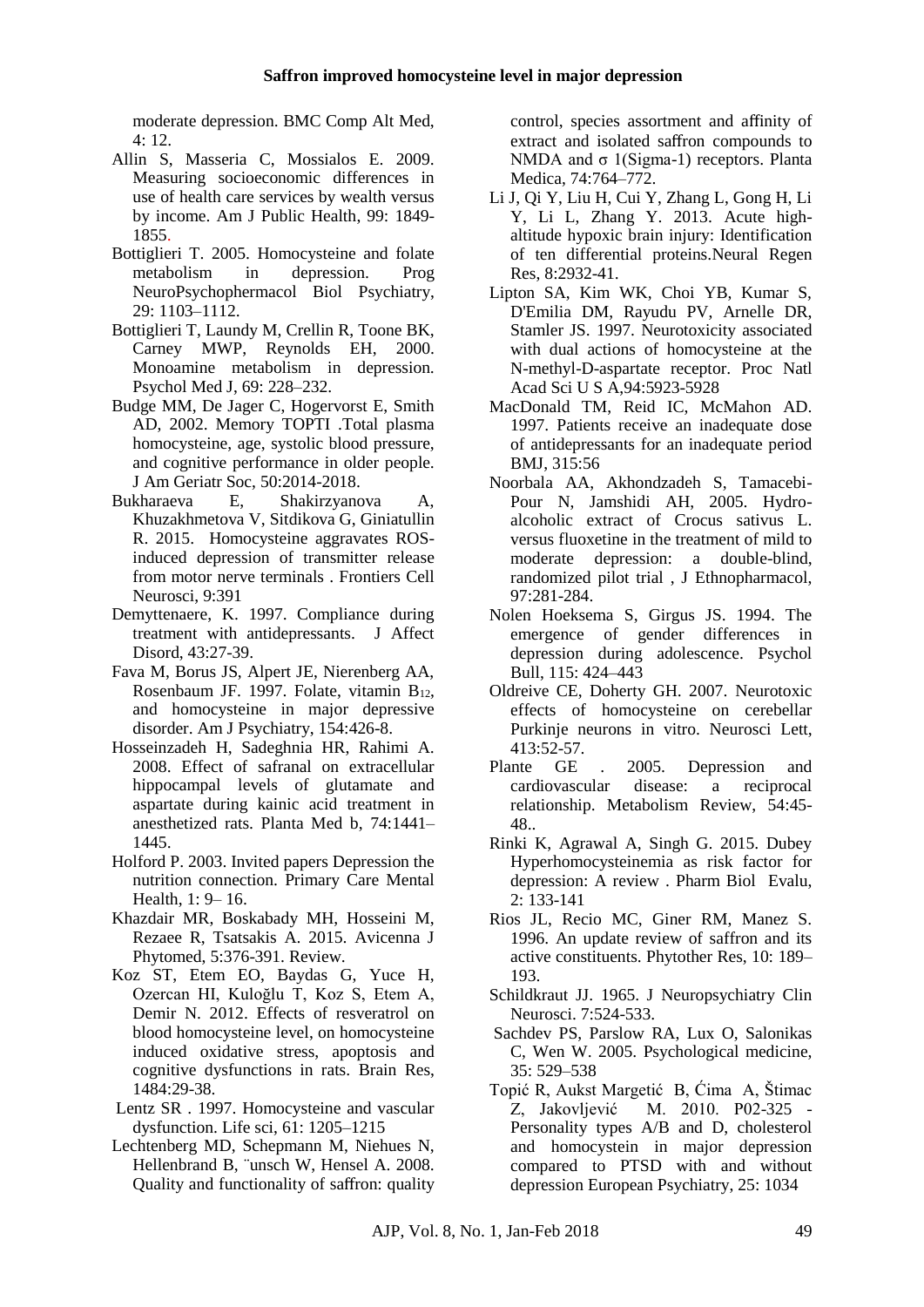moderate depression. BMC Comp Alt Med, 4: 12.

- Allin S, Masseria C, Mossialos E. 2009. [Measuring socioeconomic differences in](https://www.ncbi.nlm.nih.gov/pubmed/19150899)  [use of health care services by wealth versus](https://www.ncbi.nlm.nih.gov/pubmed/19150899)  [by income.](https://www.ncbi.nlm.nih.gov/pubmed/19150899) Am J Public Health, 99: 1849- 1855.
- Bottiglieri T. 2005. Homocysteine and folate metabolism in depression. Prog NeuroPsychophermacol Biol Psychiatry, 29: 1103–1112.
- Bottiglieri T, Laundy M, Crellin R, Toone BK, Carney MWP, Reynolds EH, 2000. Monoamine metabolism in depression. Psychol Med J, 69: 228–232.
- Budge MM, De Jager C, Hogervorst E, Smith AD, 2002. Memory TOPTI .Total plasma homocysteine, age, systolic blood pressure, and cognitive performance in older people. J Am Geriatr Soc, 50:2014-2018.
- Bukharaeva E, Shakirzyanova A, Khuzakhmetova V, Sitdikova G, Giniatullin R. 2015. Homocysteine aggravates ROSinduced depression of transmitter release from motor nerve terminals . Frontiers Cell Neurosci, 9:391
- Demyttenaere, K. 1997. Compliance during treatment with antidepressants. J Affect Disord, 43:27-39.
- Fava M, Borus JS, Alpert JE, Nierenberg AA, Rosenbaum JF. 1997. Folate, vitamin  $B_{12}$ , and homocysteine in major depressive disorder. Am J Psychiatry, 154:426-8.
- Hosseinzadeh H, Sadeghnia HR, Rahimi A. 2008. Effect of safranal on extracellular hippocampal levels of glutamate and aspartate during kainic acid treatment in anesthetized rats. Planta Med b, 74:1441– 1445.
- Holford P. 2003. Invited papers Depression the nutrition connection. Primary Care Mental Health, 1: 9– 16.
- Khazdair MR, Boskabady MH, Hosseini M, Rezaee R, Tsatsakis A. 2015. Avicenna J Phytomed, 5:376-391. Review.
- Koz ST, Etem EO, Baydas G, Yuce H, Ozercan HI, Kuloğlu T, Koz S, Etem A, Demir N. 2012. [Effects of resveratrol on](https://www.ncbi.nlm.nih.gov/pubmed/22995369)  [blood homocysteine level, on homocysteine](https://www.ncbi.nlm.nih.gov/pubmed/22995369)  [induced oxidative stress, apoptosis and](https://www.ncbi.nlm.nih.gov/pubmed/22995369)  [cognitive dysfunctions in rats.](https://www.ncbi.nlm.nih.gov/pubmed/22995369) Brain Res, 1484:29-38.
- Lentz SR . 1997. Homocysteine and vascular dysfunction. Life sci, 61: 1205–1215
- Lechtenberg MD, Schepmann M, Niehues N, Hellenbrand B, ¨unsch W, Hensel A. 2008. Quality and functionality of saffron: quality

control, species assortment and affinity of extract and isolated saffron compounds to NMDA and σ 1(Sigma-1) receptors. Planta Medica, 74:764–772.

- Li J, Qi Y, Liu H, Cui Y, Zhang L, Gong H, Li Y, Li L, Zhang Y. 2013. [Acute high](https://www.ncbi.nlm.nih.gov/pubmed/25206614)[altitude hypoxic brain injury: Identification](https://www.ncbi.nlm.nih.gov/pubmed/25206614)  [of ten differential proteins.N](https://www.ncbi.nlm.nih.gov/pubmed/25206614)eural Regen Res, 8:2932-41.
- Lipton SA, Kim WK, Choi YB, Kumar S, D'Emilia DM, Rayudu PV, Arnelle DR, Stamler JS. 1997. [Neurotoxicity associated](https://www.ncbi.nlm.nih.gov/pubmed/9159176)  [with dual actions of homocysteine at the](https://www.ncbi.nlm.nih.gov/pubmed/9159176)  [N-methyl-D-aspartate receptor.](https://www.ncbi.nlm.nih.gov/pubmed/9159176) [Proc Natl](https://www.ncbi.nlm.nih.gov/pubmed/?term=Lipton+SA%2C+Kim+WK+1997)  [Acad Sci U S A,](https://www.ncbi.nlm.nih.gov/pubmed/?term=Lipton+SA%2C+Kim+WK+1997)94:5923-5928
- MacDonald TM, Reid IC, McMahon AD. 1997. Patients receive an inadequate dose of antidepressants for an inadequate period BMJ, 315:56
- Noorbala AA, Akhondzadeh S, Tamacebi-Pour N, Jamshidi AH, 2005. Hydroalcoholic extract of Crocus sativus L. versus fluoxetine in the treatment of mild to moderate depression: a double-blind, randomized pilot trial , J Ethnopharmacol, 97:281-284.
- Nolen Hoeksema S, Girgus JS. 1994. The emergence of gender differences in depression during adolescence. Psychol Bull, 115: 424–443
- Oldreive CE, Doherty GH. 2007. [Neurotoxic](https://www.ncbi.nlm.nih.gov/pubmed/17157438)  [effects of homocysteine on cerebellar](https://www.ncbi.nlm.nih.gov/pubmed/17157438)  [Purkinje neurons in vitro.](https://www.ncbi.nlm.nih.gov/pubmed/17157438) Neurosci Lett, 413:52-57.
- Plante GE . 2005. Depression and cardiovascular disease: a reciprocal relationship. Metabolism Review, 54:45- 48..
- Rinki K, Agrawal A, Singh G. 2015. Dubey Hyperhomocysteinemia as risk factor for depression: A review . Pharm Biol Evalu, 2: 133-141
- Rios JL, Recio MC, Giner RM, Manez S. 1996. An update review of saffron and its active constituents. Phytother Res, 10: 189– 193.
- Schildkraut JJ. 1965. J Neuropsychiatry Clin Neurosci. 7:524-533.
- Sachdev PS, Parslow RA, Lux O, Salonikas C, Wen W. 2005. Psychological medicine, 35: 529–538
- Topić R, Aukst Margetić B, Ćima A, Štimac Z, Jakovljević M. 2010. P02-325 - Personality types A/B and D, cholesterol and homocystein in major depression compared to PTSD with and without depression European Psychiatry, 25: 1034